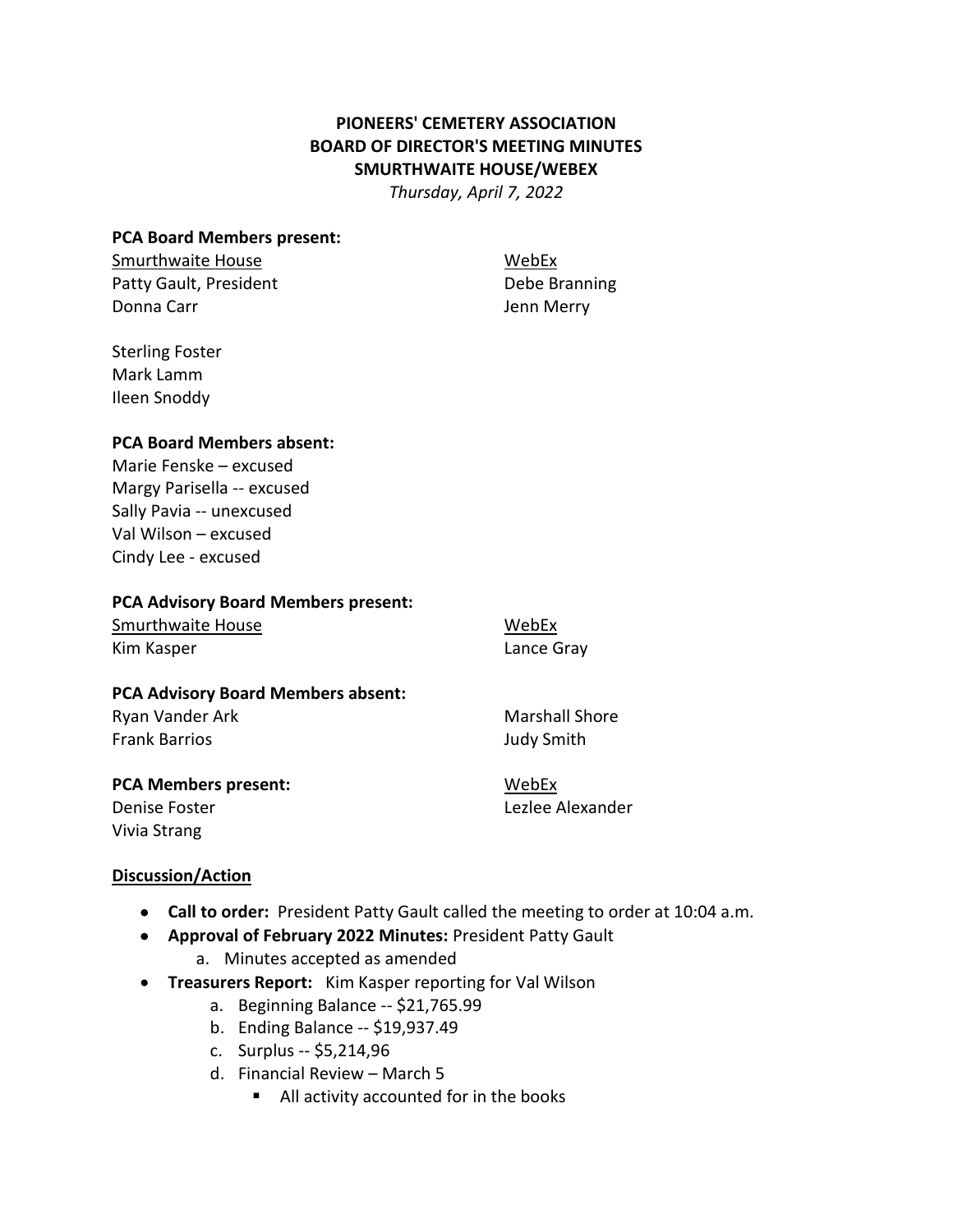# **PIONEERS' CEMETERY ASSOCIATION BOARD OF DIRECTOR'S MEETING MINUTES SMURTHWAITE HOUSE/WEBEX**

*Thursday, April 7, 2022* 

### **PCA Board Members present:**

Smurthwaite House New York NebEx Patty Gault, President **Debe Branning** Donna Carr **Donna Carr** Jenn Merry

Sterling Foster Mark Lamm Ileen Snoddy

### **PCA Board Members absent:**

Marie Fenske – excused Margy Parisella -- excused Sally Pavia -- unexcused Val Wilson – excused Cindy Lee - excused

### **PCA Advisory Board Members present:**

| Smurthwaite House | WebEx      |
|-------------------|------------|
| Kim Kasper        | Lance Gray |

#### **PCA Advisory Board Members absent:**

Ryan Vander Ark Marshall Shore Frank Barrios **Matter Strutter and School Smith** Judy Smith

**PCA Members present:** WebEx

Vivia Strang

Denise Foster **Leap Alexander** Lezlee Alexander

### **Discussion/Action**

- **Call to order:** President Patty Gault called the meeting to order at 10:04 a.m.
- **Approval of February 2022 Minutes:** President Patty Gault
	- a. Minutes accepted as amended
- **Treasurers Report:** Kim Kasper reporting for Val Wilson
	- a. Beginning Balance -- \$21,765.99
	- b. Ending Balance -- \$19,937.49
	- c. Surplus -- \$5,214,96
	- d. Financial Review March 5
		- All activity accounted for in the books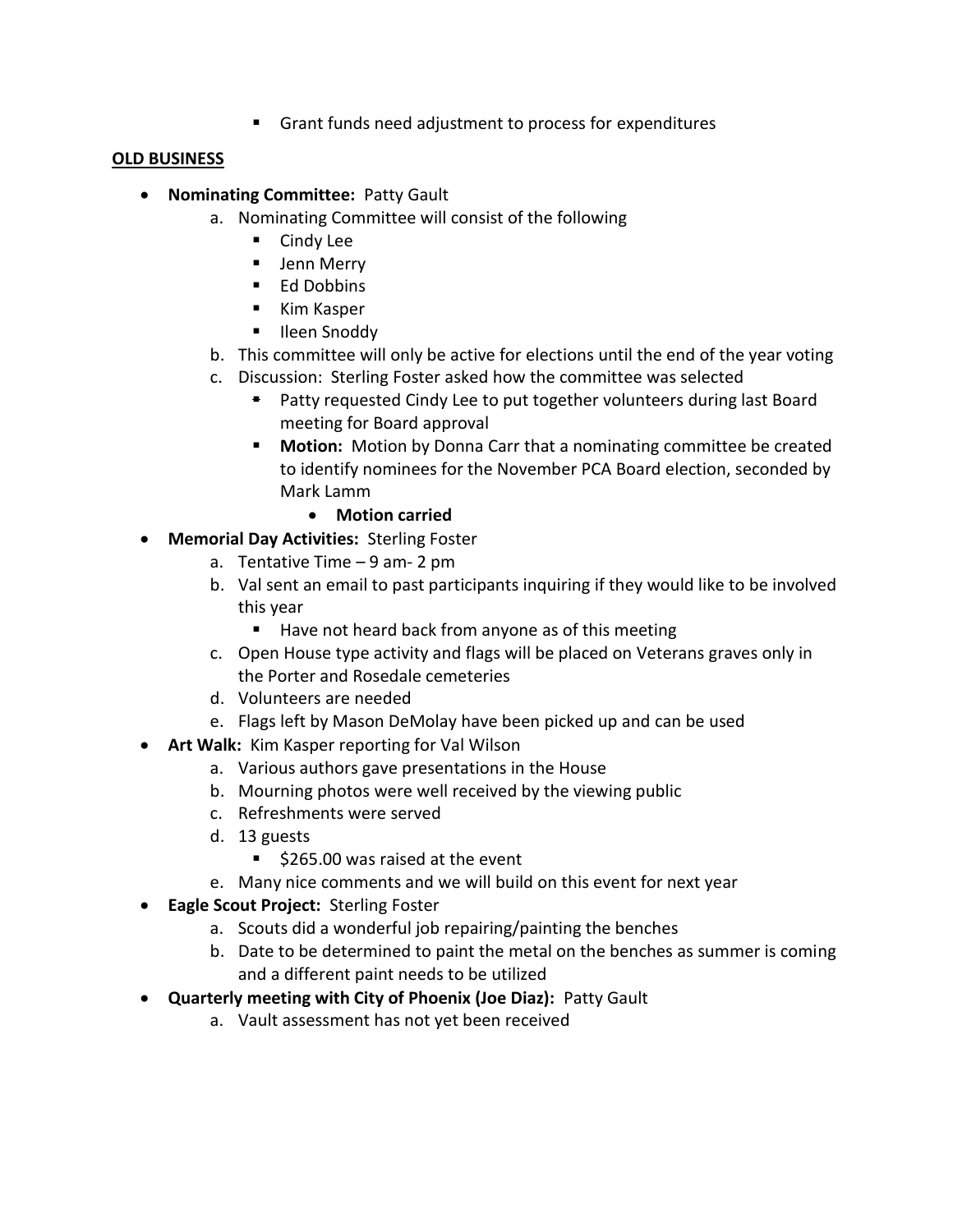■ Grant funds need adjustment to process for expenditures

## **OLD BUSINESS**

- **Nominating Committee:** Patty Gault
	- a. Nominating Committee will consist of the following
		- Cindy Lee
		- Jenn Merry
		- Ed Dobbins
		- Kim Kasper
		- Ileen Snoddy
	- b. This committee will only be active for elections until the end of the year voting
	- c. Discussion: Sterling Foster asked how the committee was selected
		- Patty requested Cindy Lee to put together volunteers during last Board meeting for Board approval
		- **Motion:** Motion by Donna Carr that a nominating committee be created to identify nominees for the November PCA Board election, seconded by Mark Lamm
			- **Motion carried**
- **Memorial Day Activities:** Sterling Foster
	- a. Tentative Time 9 am- 2 pm
	- b. Val sent an email to past participants inquiring if they would like to be involved this year
		- Have not heard back from anyone as of this meeting
	- c. Open House type activity and flags will be placed on Veterans graves only in the Porter and Rosedale cemeteries
	- d. Volunteers are needed
	- e. Flags left by Mason DeMolay have been picked up and can be used
- **Art Walk:** Kim Kasper reporting for Val Wilson
	- a. Various authors gave presentations in the House
	- b. Mourning photos were well received by the viewing public
	- c. Refreshments were served
	- d. 13 guests
		- \$265.00 was raised at the event
	- e. Many nice comments and we will build on this event for next year
- **Eagle Scout Project:** Sterling Foster
	- a. Scouts did a wonderful job repairing/painting the benches
	- b. Date to be determined to paint the metal on the benches as summer is coming and a different paint needs to be utilized
- **Quarterly meeting with City of Phoenix (Joe Diaz):** Patty Gault
	- a. Vault assessment has not yet been received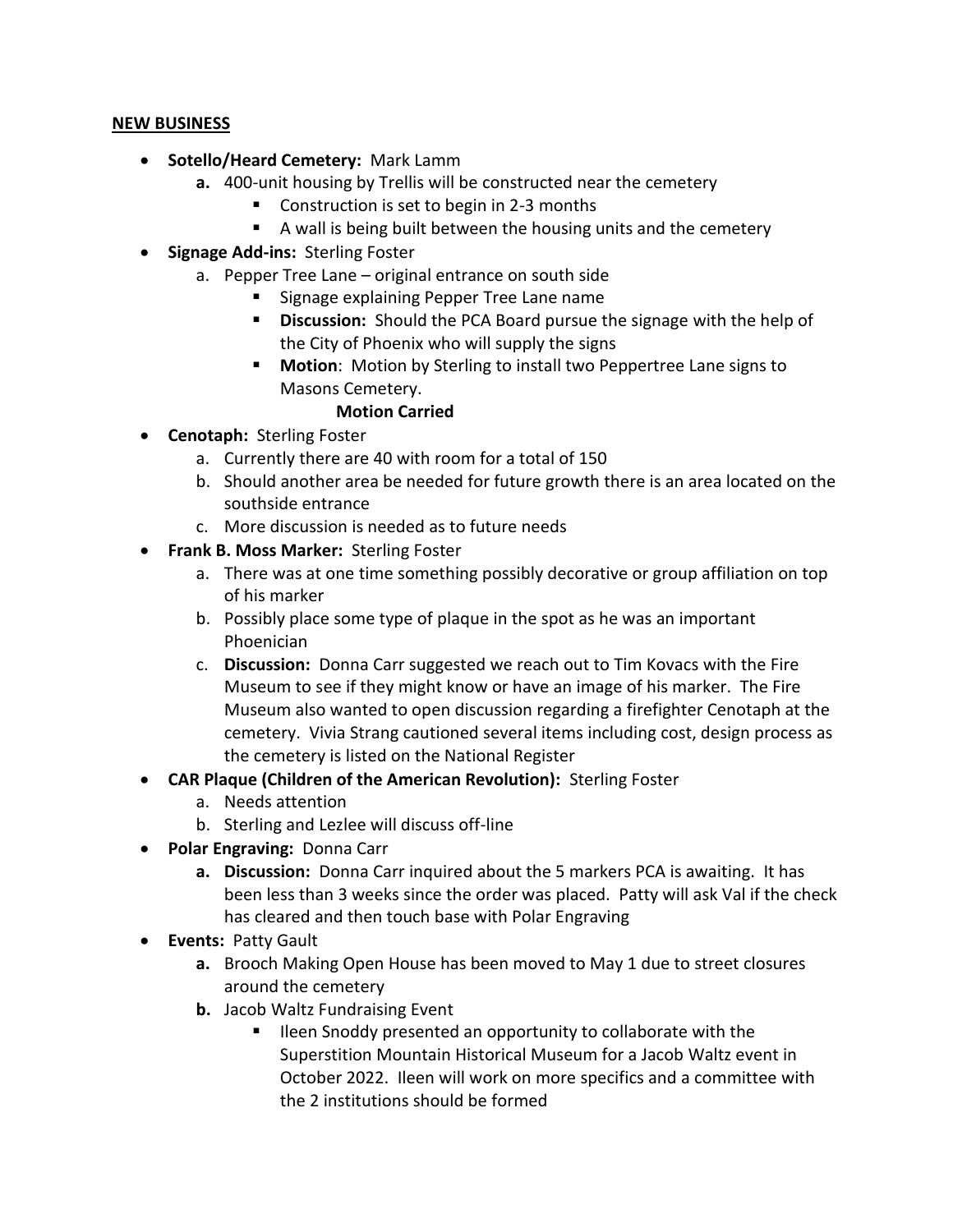## **NEW BUSINESS**

- **Sotello/Heard Cemetery:** Mark Lamm
	- **a.** 400-unit housing by Trellis will be constructed near the cemetery
		- Construction is set to begin in 2-3 months
		- A wall is being built between the housing units and the cemetery
- **Signage Add-ins:** Sterling Foster
	- a. Pepper Tree Lane original entrance on south side
		- Signage explaining Pepper Tree Lane name
		- **Discussion:** Should the PCA Board pursue the signage with the help of the City of Phoenix who will supply the signs
		- **Motion**: Motion by Sterling to install two Peppertree Lane signs to Masons Cemetery.

# **Motion Carried**

- **Cenotaph:** Sterling Foster
	- a. Currently there are 40 with room for a total of 150
	- b. Should another area be needed for future growth there is an area located on the southside entrance
	- c. More discussion is needed as to future needs
- **Frank B. Moss Marker:** Sterling Foster
	- a. There was at one time something possibly decorative or group affiliation on top of his marker
	- b. Possibly place some type of plaque in the spot as he was an important Phoenician
	- c. **Discussion:** Donna Carr suggested we reach out to Tim Kovacs with the Fire Museum to see if they might know or have an image of his marker. The Fire Museum also wanted to open discussion regarding a firefighter Cenotaph at the cemetery. Vivia Strang cautioned several items including cost, design process as the cemetery is listed on the National Register
- **CAR Plaque (Children of the American Revolution):** Sterling Foster
	- a. Needs attention
	- b. Sterling and Lezlee will discuss off-line
- **Polar Engraving:** Donna Carr
	- **a. Discussion:** Donna Carr inquired about the 5 markers PCA is awaiting. It has been less than 3 weeks since the order was placed. Patty will ask Val if the check has cleared and then touch base with Polar Engraving
- **Events:** Patty Gault
	- **a.** Brooch Making Open House has been moved to May 1 due to street closures around the cemetery
	- **b.** Jacob Waltz Fundraising Event
		- Ileen Snoddy presented an opportunity to collaborate with the Superstition Mountain Historical Museum for a Jacob Waltz event in October 2022. Ileen will work on more specifics and a committee with the 2 institutions should be formed